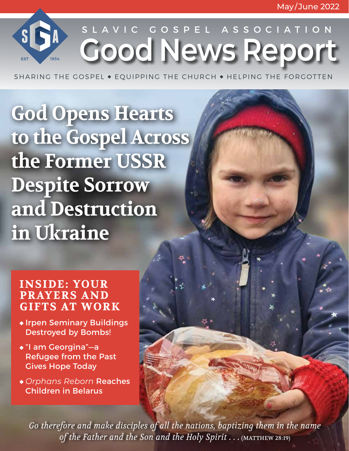**Good News Report** SLAVIC GOSPEL ASSOCIATION

SHARING THE GOSPEL  $\bullet$  EQUIPPING THE CHURCH  $\bullet$  HELPING THE FORGOTTEN

**God Opens Hearts to the Gospel Across the Former USSR Despite Sorrow and Destruction in Ukraine** 

### **INSIDE: YOUR PRAYERS AND GIFTS AT WORK**

 $S$ 

- *\** Irpen Seminary Buildings Destroyed by Bombs!
- "I am Georgina"—a Refugee from the Past Gives Hope Today
- *Orphans Reborn* Reaches Children in Belarus

Go therefore and make disciples of all the nations, baptizing them in the name *of the Father and the Son and the Holy Spirit . . .* (MATTHEW 28:19)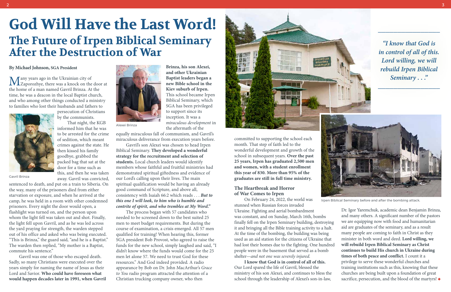Many years ago in the Ukrainian city of<br>Zaporozhye, there was a knock on the door at the home of a man named Gavril Brinza. At the time, he was a deacon in the local Baptist church, and who among other things conducted a ministry to families who lost their husbands and fathers to



persecution of Christians by the communists.

That night, the KGB informed him that he was to be arrested for the crime of sedition, which meant crimes against the state. He then kissed his family goodbye, grabbed the packed bag that sat at the door for a time such as this, and then he was taken away. Gavril was convicted,

sentenced to death, and put on a train to Siberia. On

the way, many of the prisoners died from either starvation or exposure, and when he arrived at the camp, he was held in a room with other condemned prisoners. Every night the door would open, a flashlight was turned on, and the person upon whom the light fell was taken out and shot. Finally, the light fell upon Gavril, and as he was led across the yard praying for strength, the warden stepped out of his office and asked who was being executed. "This is Brinza," the guard said, "and he is a Baptist." The warden then replied, "My mother is a Baptist, commute his sentence."

Gavril was one of those who escaped death. Sadly, so many Christians were executed over the years simply for naming the name of Jesus as their Lord and Savior. **Who could have foreseen what would happen decades later in 1991, when Gavril** 

**Brinza, his son Alexei, and other Ukrainian Baptist leaders began a new Bible school in the Kiev suburb of Irpen.**  This school became Irpen Biblical Seminary, which SGA has been privileged



inception. It was a

*miraculous development* in

the aftermath of the

equally miraculous fall of communism, and Gavril's miraculous deliverance from execution years before.

Gavril's son Alexei was chosen to head Irpen Biblical Seminary. **They developed a wonderful strategy for the recruitment and selection of students.** Local church leaders would identify members whose faithful and fruitful ministries had demonstrated spiritual giftedness and evidence of our Lord's calling upon their lives. The main spiritual qualification would be having an already good command of Scripture, and above all, consistency with Isaiah 66:2 which reads . . . *But to this one I will look, to him who is humble and contrite of spirit, and who trembles at My Word."* 

The process began with 57 candidates who needed to be screened down to the best suited 25 men to meet budget requirements. But during the course of examination, a crisis emerged. All 57 men qualified for training! When hearing this, former SGA president Bob Provost, who agreed to raise the funds for the new school, simply laughed and said, "I didn't know where the funds would come for the 25 men let alone 57. We need to trust God for these resources." And God indeed provided. A radio appearance by Bob on Dr. John MacArthur's *Grace to You* radio program attracted the attention of a Christian trucking company owner, who then



committed to supporting the school each month. That step of faith led to the wonderful development and growth of the school in subsequent years. **Over the past 25 years, Irpen has graduated 2,500 men and women, with a student enrollment this year of 830. More than 95% of the graduates are still in full time ministry.** 

#### **The Heartbreak and Horror of War Comes to Irpen**

On February 24, 2022, the world was stunned when Russian forces invaded Ukraine. Fighting and aerial bombardment was constant, and on Sunday, March 16th, bombs finally fell on the Irpen Seminary building, destroying it and bringing all the Bible training activity to a halt. At the time of the bombing, the building was being used as an aid station for the citizens of Ukraine that had lost their homes due to the fighting. One hundred people were in the basement that served as a bomb shelter—*and not one was severely injured.*  **I know that God is in control of all of this.**  Our Lord spared the life of Gavril, blessed the ministry of his son Alexei, and continues to bless the school through the leadership of Alexei's son-in-law, Dr. Igor Yaremchuk, academic dean Benjamin Brinza, and many others. A significant number of the pastors we are equipping now with food and humanitarian aid are graduates of the seminary, and as a result many people are coming to faith in Christ as they minister in both word and deed. **Lord willing, we will rebuild Irpen Biblical Seminary as Christ continues to build His church in Ukraine during times of both peace and conflict.** I count it a privilege to serve these wonderful churches and training institutions such as this, knowing that these churches are being built upon a foundation of great sacrifice, persecution, and the blood of the martyrs!  $\triangleleft$ Irpen Biblical Seminary before and after the bombing attack.

# **God Will Have the Last Word! The Future of Irpen Biblical Seminary After the Destruction of War**

#### **By Michael Johnson, SGA President**

*\_\_\_\_\_\_\_\_\_\_\_\_\_\_\_\_*



*"I know that God is in control of all of this. Lord willing, we will rebuild Irpen Biblical Seminary . . ."*

*\_\_\_\_\_\_\_\_\_\_\_\_\_\_\_\_*

Alexei Brinza

Gavril Brinza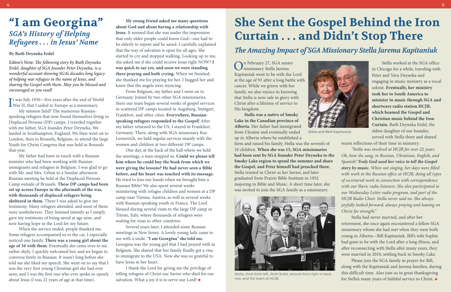It was July 1950—five years after the end of World<br>War II, that I sailed to Europe as a missionary. War II, that I sailed to Europe as a missionary.

My mission field? The numerous Russianspeaking refugees that now found themselves living in Displaced Persons (DP) camps. I traveled together with my father, SGA founder Peter Deyneka. We landed in Southampton, England. We then went on to London, then to Brussels, Belgium, to attend the large Youth for Christ Congress that was held in Brussels that year.

My father had been in touch with a Russian minister who had been working with Russian immigrants and refugees in Belgium. I was glad to go with Mr. and Mrs. Urban to a Sunday afternoon Russian meeting he held at the Displaced Persons Camp outside of Brussels. **These DP camps had been set up across Europe in the aftermath of the war, with thousands of displaced refugees being sheltered in them.** There I was asked to give my testimony. Many refugees attended, and most of them were nonbelievers. They listened intently as I simply gave my testimony of being saved at age nine, and now having hope in the Lord for my future.

When the service ended, people thanked me. Some refugees accompanied us to the car. I especially noticed one family. **There was a young girl about the age of 10 with them.** Eventually she came over to me rather shyly. I quickly welcomed her, and we began to converse freely in Russian. It wasn't long before she told me she liked my speech. She went on to say that I was the very first young Christian girl she had ever seen, and I was the first one who ever spoke so openly about Jesus (I was 22 years of age at that time).

I thank the Lord for giving me the privilege of telling refugees of Christ our Savior who died for our salvation. What a joy it is to serve our Lord!  $\blacklozenge$ 

**My young friend asked me many questions about God and about having a relationship with Jesus.** It seemed that she was under the impression that only older people could know God—one had to be elderly to repent and be saved. I carefully explained that the way of salvation is open for all ages. She started to cry and stopped walking. Looking up to me, she asked me if she could receive Jesus right NOW? **I was quick to say yes, and soon we were standing there praying and both crying.** When we finished, she thanked me for praying for her. I hugged her and knew that the angels were rejoicing.

From Belgium, my father and I went on to Germany. Joined by two other SGA missionaries, there our team began several weeks of gospel services in scattered DP camps located in Augsburg, Stuttgart, Frankfort, and other cities. **Everywhere, Russianspeaking refugees responded to the Gospel!** After my father returned to the US, I stayed in Frankfurt, Germany. There, along with SGA missionary Roz Leonovich, we held regular services mainly with the women and children at two different DP camps.

One day, at the back of the hall where we held the meetings, a man stopped us. **Could we please tell him where he could buy the book from which we were giving the lessons? He had never seen a Bible before, and his heart was touched with its message.**  He tried to kiss our hands when we brought him a Russian Bible! We also spent several weeks ministering with refugee children and women at a DP camp near Vienna, Austria, as well as several weeks with Russian-speaking youth in France. The Lord blessed during several visits to the large DP camp in Trieste, Italy, where thousands of refugees were waiting for visas to other countries.

Several years later, I attended some Russian meetings in New Jersey. A lovely young lady came to me with a smile. **"I am Georgina" she told me.** Georgina was the young girl that I had prayed with in Belgium. She shared that her family finally got a visa to immigrate to the USA. Now she was so grateful to have Jesus in her heart.

On February 27, SGA senior missionary Stella Jarema Kapitaniuk went to be with the Lord at the age of 93 after a long battle with cancer. While we grieve with her family, we also rejoice in knowing that Stella is now safe in glory with Christ after a lifetime of service to His kingdom.

**Stella was a native of Smoky Lake in the Canadian province of Alberta.** Her father had immigrated from Ukraine and eventually ended up in Alberta where he established a

farm and raised his family. Stella was the seventh of 10 children. **When she was 15, SGA missionaries had been sent by SGA founder Peter Deyneka to the Smoky Lake region to spend the summer and share the Gospel, and Peter himself had preached there.**  Stella trusted in Christ as her Savior, and later graduated from Prairie Bible Institute in 1952 majoring in Bible and Music. A short time later, she was invited to join the SGA family as a missionary.

Stella worked at the SGA office in Chicago for a while, traveling with Peter and Vera Deyneka and engaging in music ministry as a vocal soloist. **Eventually, her ministry took her to South America to minister in music through SGA and shortwave radio station HCJB, which beamed the Gospel and Christian music behind the Iron Curtain.** Ruth Deyneka Erdel, the eldest daughter of our founder, served with Stella there and shared

warm reflections of their time in ministry: *"Stella was involved at HCJB for over 22 years.* 

*Oh, how she sang, in Russian, Ukrainian, English, and Spanish! Truly God used her voice to tell the Gospel story by music. When not singing, her days were filled with work in the Russian office at HCJB, doing all types of secretarial work in connection with correspondence with our Slavic radio listeners. She also participated in our Wednesday Letter radio program, and part of the HCJB Radio Choir. Stella never said no. She always joyfully looked forward, always praying and leaning on Christ for strength."*

Stella had never married, and after her retirement, she once again encountered a fellow SGA missionary whom she had met when they were both young in Alberta—Bill Kapitaniuk. Bill's wife Sophie had gone to be with the Lord after a long illness, and after reconnecting with Stella after many years, they were married in 2010, settling back in Smoky Lake.

Please join the SGA family in prayer for Bill, along with the Kapitaniuk and Jarema families, during this difficult time. Also join us in great thanksgiving for Stella's many years of faithful service to Christ.

## **"I am Georgina"** *SGA's History of Helping Refugees . . . in Jesus' Name*

#### **By Ruth Deyneka Erdel**

Editor's Note: *The following story by Ruth Deyneka Erdel, daughter of SGA founder Peter Deyneka, is a wonderful account showing SGA's decades-long legacy of helping war refugees in the name of Jesus, and sharing the Gospel with them. May you be blessed and encouraged as you read!*

# **She Sent the Gospel Behind the Iron Curtain . . . and Didn't Stop There**

## *The Amazing Impact of SGA Missionary Stella Jarema Kapitaniuk*



Stella, third from left,, Ruth Erdel, second from right in back row, and the team at HCJB.



Stella and Beill Kapitaniuk.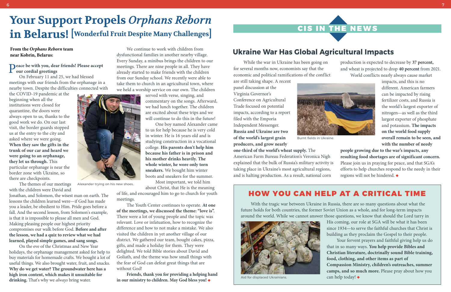With the tragic war between Ukraine in Russia, there are so many questions about what the future holds for both countries, the former Soviet Union as a whole, and for long-term impacts around the world. While we cannot answer those questions, we know that should the Lord tarry in His coming, our role at SGA will be what it has been since 1934—to serve the faithful churches that Christ is building as they proclaim the Gospel to their people.



Your fervent prayers and faithful giving help us do that in so many ways. **You help provide Bibles and Christian literature, doctrinally sound Bible training, food, clothing, and other items as part of Compassion Ministry, children's outreaches, summer camps, and so much more.** Please pray about how you can help today!

## HOW YOU CAN HELP AT A CRITICAL TIME

While the war in Ukraine has been going on for several months now, economists say that the economic and political ramifications of the conflict

are still taking shape. A recent panel discussion at the Virginia Governor's Conference on Agricultural Trade focused on potential impacts, according to a report filed with the Emporia Independent Messenger. **Russia and Ukraine are two of the world's largest grain producers, and grow nearly** 

### **Peace be with you, dear friends! Please accept our cordial greetings**

**one-third of the world's wheat supply.** The American Farm Bureau Federation's Veronica Nigh explained that the bulk of Russia's military activity is taking place in Ukraine's most agricultural regions, and is halting production. As a result, national corn

production is expected to decrease by **37 percent,** and wheat is projected to drop **40 percent** from 2021. World conflicts nearly always cause market



impacts, and this is no different. American farmers can be impacted by rising fertilizer costs, and Russia is the world's largest exporter of nitrogen—as well as the third largest exporter of phosphate and potassium. **The impacts on the world food supply overall remain to be seen, and with the number of needy** 

**people growing due to the war's impacts, any resulting food shortages are of significant concern.**  Please join us in praying for peace, and that SGA's efforts to help churches respond to the needy in their regions will not be hindered.



## **Ukraine War Has Global Agricultural Impacts**

On February 11 and 25, we had blessed meetings with our friends from the orphanage in a nearby town. Despite the difficulties connected with

the COVID-19 pandemic at the beginning when all the institutions were closed for quarantine, the doors were always open to us, thanks to the good work we do. On our last visit, the border guards stopped us at the entry to the city and asked where we were going. **When they saw the gifts in the trunk of our car and heard we were going to an orphanage, they let us through.** This particular orphanage is near the border zone with Ukraine, so there are checkpoints.

The themes of our meetings with the children were David and

Jonathan, and Solomon, the wisest man on earth. The lessons the children learned were—if God has made you a leader, be obedient to Him. Pride goes before a fall. And the second lesson, from Solomon's example, is that it is impossible to please all men and God. Making pleasing people our highest priority compromises our walk before God. **Before and after the lesson, we had a quiz to review what we had learned, played simple games, and sang songs.** 

On the eve of the Christmas and New Year holidays, the orphanage management asked for help to buy materials for homemade crafts. We bought a lot of useful things. We also brought water, fruit, and snacks. **Why do we get water? The groundwater here has a high iron content, which makes it unsuitable for drinking.** That's why we *always* bring water.

We continue to work with children from dysfunctional families in another nearby village. Every Sunday, a minibus brings the children to our meetings. There are nine people in all. They have already started to make friends with the children from our Sunday school. We recently were able to take them to church in an agricultural town, where we held a worship service on our own. The children

> served with verse, singing, and commentary on the songs. Afterward, we had lunch together. The children are excited about these trips and we will continue to do this in the future!

> One boy named Alexander came to us for help because he is very cold in winter. He is 16 years old and is studying construction in a vocational college. **His parents don't help him because his father is in prison and his mother drinks heavily. The whole winter, he wore only torn sneakers.** We bought him winter boots and sneakers for the summer.

Most important, we told him about Christ, that He is the meaning

of life, and encouraged him to go to church for youth meetings.

The Youth Center continues to operate. **At one of the meetings, we discussed the theme: "love is".**  There were a lot of young people and the topic was relevant. Love or infatuation, how to recognize the difference and how to not make a mistake. We also visited the children in yet another village of our district. We gathered our team, bought cakes, pizza, gifts, and made a holiday for them. They were delighted. We told Bible stories about David and Goliath, and the theme was how small things with the fear of God can defeat great things that are without God!

**Friends, thank you for providing a helping hand in our ministry to children. May God bless you!**

## **Your Support Propels** *Orphans Reborn* **in Belarus! [Wonderful Fruit Despite Many Challenges]**

Aid for displaced Ukrainians.

Burnt fields in Ukraine.

### **From the** *Orphans Reborn* **team near Kobrin, Belarus:**



Alexander trying on his new shoes..